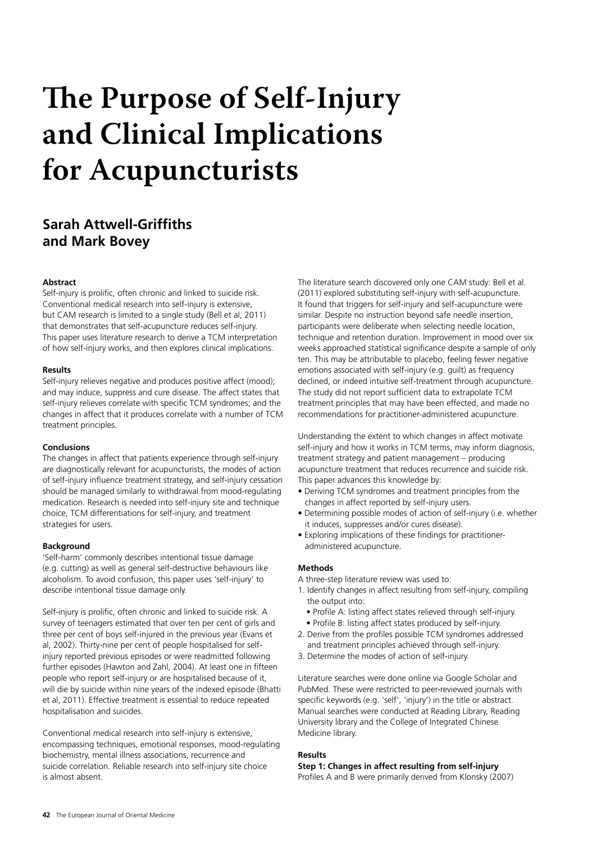# **The Purpose of Self-Injury and Clinical Implications for Acupuncturists**

# **Sarah Attwell-Griffiths and Mark Bovey**

#### **Abstract**

Self-injury is prolific, often chronic and linked to suicide risk. Conventional medical research into self-injury is extensive, but CAM research is limited to a single study (Bell et al, 2011) that demonstrates that self-acupuncture reduces self-injury. This paper uses literature research to derive a TCM interpretation of how self-injury works, and then explores clinical implications.

#### **Results**

Self-injury relieves negative and produces positive affect (mood); and may induce, suppress and cure disease. The affect states that self-injury relieves correlate with specific TCM syndromes; and the changes in affect that it produces correlate with a number of TCM treatment principles.

#### **Conclusions**

The changes in affect that patients experience through self-injury are diagnostically relevant for acupuncturists, the modes of action of self-injury influence treatment strategy, and self-injury cessation should be managed similarly to withdrawal from mood-regulating medication. Research is needed into self-injury site and technique choice, TCM differentiations for self-injury, and treatment strategies for users.

#### **Background**

'Self-harm' commonly describes intentional tissue damage (e.g. cutting) as well as general self-destructive behaviours like alcoholism. To avoid confusion, this paper uses 'self-injury' to describe intentional tissue damage only.

Self-injury is prolific, often chronic and linked to suicide risk. A survey of teenagers estimated that over ten per cent of girls and three per cent of boys self-injured in the previous year (Evans et al, 2002). Thirty-nine per cent of people hospitalised for selfinjury reported previous episodes or were readmitted following further episodes (Hawton and Zahl, 2004). At least one in fifteen people who report self-injury or are hospitalised because of it, will die by suicide within nine years of the indexed episode (Bhatti et al, 2011). Effective treatment is essential to reduce repeated hospitalisation and suicides.

Conventional medical research into self-injury is extensive, encompassing techniques, emotional responses, mood-regulating biochemistry, mental illness associations, recurrence and suicide correlation. Reliable research into self-injury site choice is almost absent.

The literature search discovered only one CAM study: Bell et al. (2011) explored substituting self-injury with self-acupuncture. It found that triggers for self-injury and self-acupuncture were similar. Despite no instruction beyond safe needle insertion, participants were deliberate when selecting needle location, technique and retention duration. Improvement in mood over six weeks approached statistical significance despite a sample of only ten. This may be attributable to placebo, feeling fewer negative emotions associated with self-injury (e.g. guilt) as frequency declined, or indeed intuitive self-treatment through acupuncture. The study did not report sufficient data to extrapolate TCM treatment principles that may have been effected, and made no recommendations for practitioner-administered acupuncture.

Understanding the extent to which changes in affect motivate self-injury and how it works in TCM terms, may inform diagnosis, treatment strategy and patient management – producing acupuncture treatment that reduces recurrence and suicide risk. This paper advances this knowledge by:

- Deriving TCM syndromes and treatment principles from the changes in affect reported by self-injury users.
- Determining possible modes of action of self-injury (i.e. whether it induces, suppresses and/or cures disease).
- Exploring implications of these findings for practitioner administered acupuncture.

#### **Methods**

A three-step literature review was used to:

- 1. Identify changes in affect resulting from self-injury, compiling the output into:
	- Profile A: listing affect states relieved through self-injury.
	- Profile B: listing affect states produced by self-injury.
- 2. Derive from the profiles possible TCM syndromes addressed and treatment principles achieved through self-injury.
- 3. Determine the modes of action of self-injury.

Literature searches were done online via Google Scholar and PubMed. These were restricted to peer-reviewed journals with specific keywords (e.g. 'self', 'injury') in the title or abstract. Manual searches were conducted at Reading Library, Reading University library and the College of Integrated Chinese Medicine library.

# **Results**

# **Step 1: Changes in affect resulting from self-injury**

Profiles A and B were primarily derived from Klonsky (2007)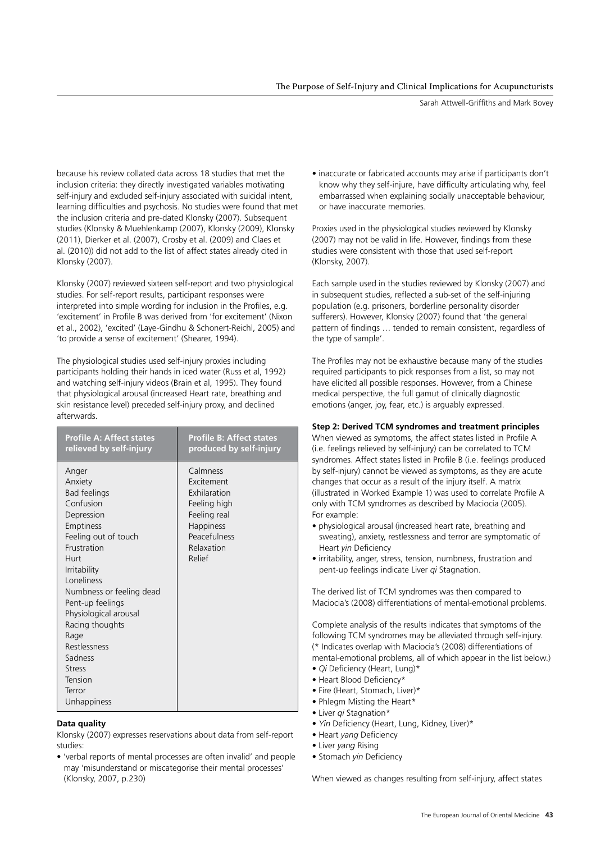Sarah Attwell-Griffiths and Mark Bovey

because his review collated data across 18 studies that met the inclusion criteria: they directly investigated variables motivating self-injury and excluded self-injury associated with suicidal intent, learning difficulties and psychosis. No studies were found that met the inclusion criteria and pre-dated Klonsky (2007). Subsequent studies (Klonsky & Muehlenkamp (2007), Klonsky (2009), Klonsky (2011), Dierker et al. (2007), Crosby et al. (2009) and Claes et al. (2010)) did not add to the list of affect states already cited in Klonsky (2007).

Klonsky (2007) reviewed sixteen self-report and two physiological studies. For self-report results, participant responses were interpreted into simple wording for inclusion in the Profiles, e.g. 'excitement' in Profile B was derived from 'for excitement' (Nixon et al., 2002), 'excited' (Laye-Gindhu & Schonert-Reichl, 2005) and 'to provide a sense of excitement' (Shearer, 1994).

The physiological studies used self-injury proxies including participants holding their hands in iced water (Russ et al, 1992) and watching self-injury videos (Brain et al, 1995). They found that physiological arousal (increased Heart rate, breathing and skin resistance level) preceded self-injury proxy, and declined afterwards.

| <b>Profile A: Affect states</b>                                                                                                                                                                                                                                                                                                                  | <b>Profile B: Affect states</b>                                                                                                    |
|--------------------------------------------------------------------------------------------------------------------------------------------------------------------------------------------------------------------------------------------------------------------------------------------------------------------------------------------------|------------------------------------------------------------------------------------------------------------------------------------|
| relieved by self-injury                                                                                                                                                                                                                                                                                                                          | produced by self-injury                                                                                                            |
| Anger<br>Anxiety<br><b>Bad feelings</b><br>Confusion<br>Depression<br>Emptiness<br>Feeling out of touch<br>Frustration<br>Hurt<br>Irritability<br>Loneliness<br>Numbness or feeling dead<br>Pent-up feelings<br>Physiological arousal<br>Racing thoughts<br>Rage<br>Restlessness<br>Sadness<br><b>Stress</b><br>Tension<br>Terror<br>Unhappiness | Calmness<br>Excitement<br>Exhilaration<br>Feeling high<br>Feeling real<br><b>Happiness</b><br>Peacefulness<br>Relaxation<br>Relief |

# **Data quality**

Klonsky (2007) expresses reservations about data from self-report studies:

• 'verbal reports of mental processes are often invalid' and people may 'misunderstand or miscategorise their mental processes' (Klonsky, 2007, p.230)

• inaccurate or fabricated accounts may arise if participants don't know why they self-injure, have difficulty articulating why, feel embarrassed when explaining socially unacceptable behaviour, or have inaccurate memories.

Proxies used in the physiological studies reviewed by Klonsky (2007) may not be valid in life. However, findings from these studies were consistent with those that used self-report (Klonsky, 2007).

Each sample used in the studies reviewed by Klonsky (2007) and in subsequent studies, reflected a sub-set of the self-injuring population (e.g. prisoners, borderline personality disorder sufferers). However, Klonsky (2007) found that 'the general pattern of findings … tended to remain consistent, regardless of the type of sample'.

The Profiles may not be exhaustive because many of the studies required participants to pick responses from a list, so may not have elicited all possible responses. However, from a Chinese medical perspective, the full gamut of clinically diagnostic emotions (anger, joy, fear, etc.) is arguably expressed.

# **Step 2: Derived TCM syndromes and treatment principles**

When viewed as symptoms, the affect states listed in Profile A (i.e. feelings relieved by self-injury) can be correlated to TCM syndromes. Affect states listed in Profile B (i.e. feelings produced by self-injury) cannot be viewed as symptoms, as they are acute changes that occur as a result of the injury itself. A matrix (illustrated in Worked Example 1) was used to correlate Profile A only with TCM syndromes as described by Maciocia (2005). For example:

- physiological arousal (increased heart rate, breathing and sweating), anxiety, restlessness and terror are symptomatic of Heart *yin* Deficiency
- irritability, anger, stress, tension, numbness, frustration and pent-up feelings indicate Liver *qi* Stagnation.

The derived list of TCM syndromes was then compared to Maciocia's (2008) differentiations of mental-emotional problems.

Complete analysis of the results indicates that symptoms of the following TCM syndromes may be alleviated through self-injury. (\* Indicates overlap with Maciocia's (2008) differentiations of mental-emotional problems, all of which appear in the list below.)

- *Qi* Deficiency (Heart, Lung)\*
- Heart Blood Deficiency\*
- Fire (Heart, Stomach, Liver)\*
- Phlegm Misting the Heart\*
- Liver *qi* Stagnation\*
- *Yin* Deficiency (Heart, Lung, Kidney, Liver)\*
- Heart *yang* Deficiency
- Liver *yang* Rising
- Stomach *yin* Deficiency

When viewed as changes resulting from self-injury, affect states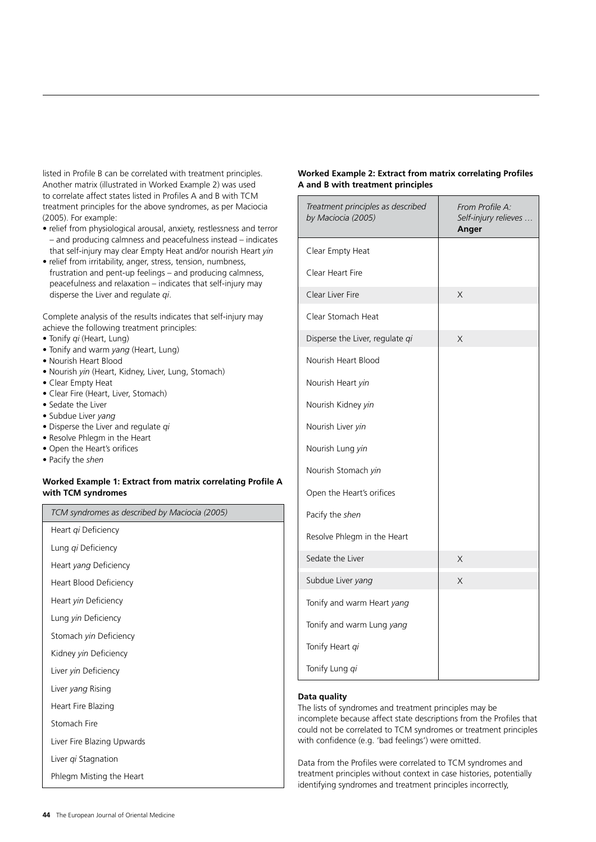listed in Profile B can be correlated with treatment principles. Another matrix (illustrated in Worked Example 2) was used to correlate affect states listed in Profiles A and B with TCM treatment principles for the above syndromes, as per Maciocia (2005). For example:

- relief from physiological arousal, anxiety, restlessness and terror – and producing calmness and peacefulness instead – indicates that self-injury may clear Empty Heat and/or nourish Heart *yin*
- relief from irritability, anger, stress, tension, numbness, frustration and pent-up feelings – and producing calmness, peacefulness and relaxation – indicates that self-injury may disperse the Liver and regulate *qi*.

Complete analysis of the results indicates that self-injury may achieve the following treatment principles:

- Tonify *qi* (Heart, Lung)
- Tonify and warm *yang* (Heart, Lung)
- Nourish Heart Blood
- Nourish *yin* (Heart, Kidney, Liver, Lung, Stomach)
- Clear Empty Heat
- Clear Fire (Heart, Liver, Stomach)
- Sedate the Liver
- Subdue Liver *yang*
- Disperse the Liver and regulate *qi*
- Resolve Phlegm in the Heart
- Open the Heart's orifices
- Pacify the *shen*

#### **Worked Example 1: Extract from matrix correlating Profile A with TCM syndromes**

| TCM syndromes as described by Maciocia (2005) |  |
|-----------------------------------------------|--|
| Heart qi Deficiency                           |  |
| Lung <i>gi</i> Deficiency                     |  |
| Heart <i>yang</i> Deficiency                  |  |
| Heart Blood Deficiency                        |  |
| Heart <i>yin</i> Deficiency                   |  |
| Lung <i>yin</i> Deficiency                    |  |
| Stomach <i>yin</i> Deficiency                 |  |
| Kidney <i>yin</i> Deficiency                  |  |
| Liver <i>yin</i> Deficiency                   |  |
| Liver <i>yang</i> Rising                      |  |
| Heart Fire Blazing                            |  |
| Stomach Fire                                  |  |
| Liver Fire Blazing Upwards                    |  |

Liver *qi* Stagnation

Phlegm Misting the Heart

#### **Worked Example 2: Extract from matrix correlating Profiles A and B with treatment principles**

| Treatment principles as described<br>by Maciocia (2005) | From Profile A:<br>Self-injury relieves<br>Anger |
|---------------------------------------------------------|--------------------------------------------------|
| Clear Empty Heat                                        |                                                  |
| Clear Heart Fire                                        |                                                  |
| Clear Liver Fire                                        | X                                                |
| Clear Stomach Heat                                      |                                                  |
| Disperse the Liver, regulate qi                         | X                                                |
| Nourish Heart Blood                                     |                                                  |
| Nourish Heart yin                                       |                                                  |
| Nourish Kidney yin                                      |                                                  |
| Nourish Liver yin                                       |                                                  |
| Nourish Lung yin                                        |                                                  |
| Nourish Stomach yin                                     |                                                  |
| Open the Heart's orifices                               |                                                  |
| Pacify the shen                                         |                                                  |
| Resolve Phlegm in the Heart                             |                                                  |
| Sedate the Liver                                        | Χ                                                |
| Subdue Liver yang                                       | X                                                |
| Tonify and warm Heart yang                              |                                                  |
| Tonify and warm Lung yang                               |                                                  |
| Tonify Heart qi                                         |                                                  |
| Tonify Lung qi                                          |                                                  |

#### **Data quality**

The lists of syndromes and treatment principles may be incomplete because affect state descriptions from the Profiles that could not be correlated to TCM syndromes or treatment principles with confidence (e.g. 'bad feelings') were omitted.

Data from the Profiles were correlated to TCM syndromes and treatment principles without context in case histories, potentially identifying syndromes and treatment principles incorrectly,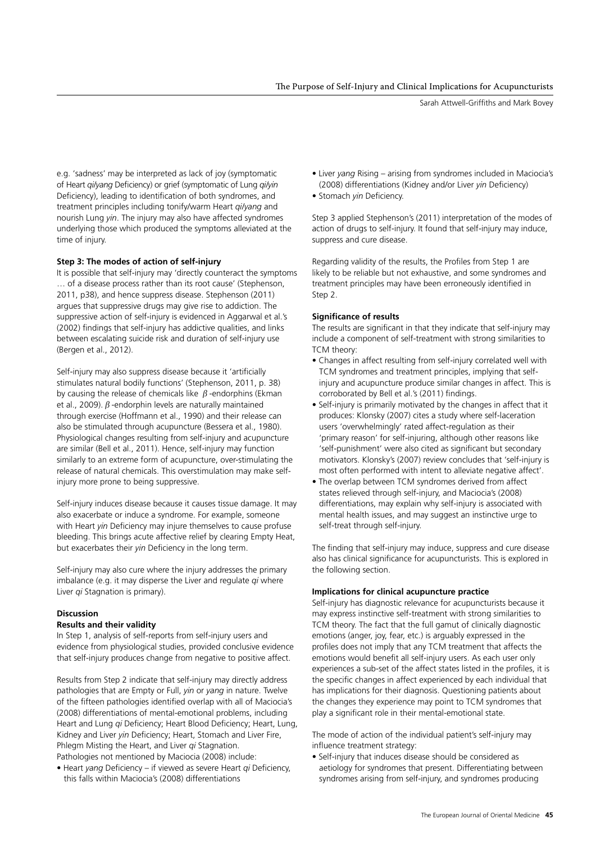Sarah Attwell-Griffiths and Mark Bovey

e.g. 'sadness' may be interpreted as lack of joy (symptomatic of Heart *qi/yang* Deficiency) or grief (symptomatic of Lung *qi/yin* Deficiency), leading to identification of both syndromes, and treatment principles including tonify/warm Heart *qi/yang* and nourish Lung *yin*. The injury may also have affected syndromes underlying those which produced the symptoms alleviated at the time of injury.

# **Step 3: The modes of action of self-injury**

It is possible that self-injury may 'directly counteract the symptoms … of a disease process rather than its root cause' (Stephenson, 2011, p38), and hence suppress disease. Stephenson (2011) argues that suppressive drugs may give rise to addiction. The suppressive action of self-injury is evidenced in Aggarwal et al.'s (2002) findings that self-injury has addictive qualities, and links between escalating suicide risk and duration of self-injury use (Bergen et al., 2012).

Self-injury may also suppress disease because it 'artificially stimulates natural bodily functions' (Stephenson, 2011, p. 38) by causing the release of chemicals like  $\beta$ -endorphins (Ekman et al., 2009).  $\beta$ -endorphin levels are naturally maintained through exercise (Hoffmann et al., 1990) and their release can also be stimulated through acupuncture (Bessera et al., 1980). Physiological changes resulting from self-injury and acupuncture are similar (Bell et al., 2011). Hence, self-injury may function similarly to an extreme form of acupuncture, over-stimulating the release of natural chemicals. This overstimulation may make selfinjury more prone to being suppressive.

Self-injury induces disease because it causes tissue damage. It may also exacerbate or induce a syndrome. For example, someone with Heart *yin* Deficiency may injure themselves to cause profuse bleeding. This brings acute affective relief by clearing Empty Heat, but exacerbates their *yin* Deficiency in the long term.

Self-injury may also cure where the injury addresses the primary imbalance (e.g. it may disperse the Liver and regulate *qi* where Liver *qi* Stagnation is primary).

# **Discussion Results and their validity**

In Step 1, analysis of self-reports from self-injury users and evidence from physiological studies, provided conclusive evidence that self-injury produces change from negative to positive affect.

Results from Step 2 indicate that self-injury may directly address pathologies that are Empty or Full, *yin* or *yang* in nature. Twelve of the fifteen pathologies identified overlap with all of Maciocia's (2008) differentiations of mental-emotional problems, including Heart and Lung *qi* Deficiency; Heart Blood Deficiency; Heart, Lung, Kidney and Liver *yin* Deficiency; Heart, Stomach and Liver Fire, Phlegm Misting the Heart, and Liver *qi* Stagnation. Pathologies not mentioned by Maciocia (2008) include:

• Heart *yang* Deficiency – if viewed as severe Heart *qi* Deficiency, this falls within Maciocia's (2008) differentiations

- Liver *yang* Rising arising from syndromes included in Maciocia's (2008) differentiations (Kidney and/or Liver *yin* Deficiency)
- Stomach *yin* Deficiency.

Step 3 applied Stephenson's (2011) interpretation of the modes of action of drugs to self-injury. It found that self-injury may induce, suppress and cure disease.

Regarding validity of the results, the Profiles from Step 1 are likely to be reliable but not exhaustive, and some syndromes and treatment principles may have been erroneously identified in Step 2.

# **Significance of results**

The results are significant in that they indicate that self-injury may include a component of self-treatment with strong similarities to TCM theory:

- Changes in affect resulting from self-injury correlated well with TCM syndromes and treatment principles, implying that self injury and acupuncture produce similar changes in affect. This is corroborated by Bell et al.'s (2011) findings.
- Self-injury is primarily motivated by the changes in affect that it produces: Klonsky (2007) cites a study where self-laceration users 'overwhelmingly' rated affect-regulation as their 'primary reason' for self-injuring, although other reasons like 'self-punishment' were also cited as significant but secondary motivators. Klonsky's (2007) review concludes that 'self-injury is most often performed with intent to alleviate negative affect'.
- The overlap between TCM syndromes derived from affect states relieved through self-injury, and Maciocia's (2008) differentiations, may explain why self-injury is associated with mental health issues, and may suggest an instinctive urge to self-treat through self-injury.

The finding that self-injury may induce, suppress and cure disease also has clinical significance for acupuncturists. This is explored in the following section.

# **Implications for clinical acupuncture practice**

Self-injury has diagnostic relevance for acupuncturists because it may express instinctive self-treatment with strong similarities to TCM theory. The fact that the full gamut of clinically diagnostic emotions (anger, joy, fear, etc.) is arguably expressed in the profiles does not imply that any TCM treatment that affects the emotions would benefit all self-injury users. As each user only experiences a sub-set of the affect states listed in the profiles, it is the specific changes in affect experienced by each individual that has implications for their diagnosis. Questioning patients about the changes they experience may point to TCM syndromes that play a significant role in their mental-emotional state.

The mode of action of the individual patient's self-injury may influence treatment strategy:

• Self-injury that induces disease should be considered as aetiology for syndromes that present. Differentiating between syndromes arising from self-injury, and syndromes producing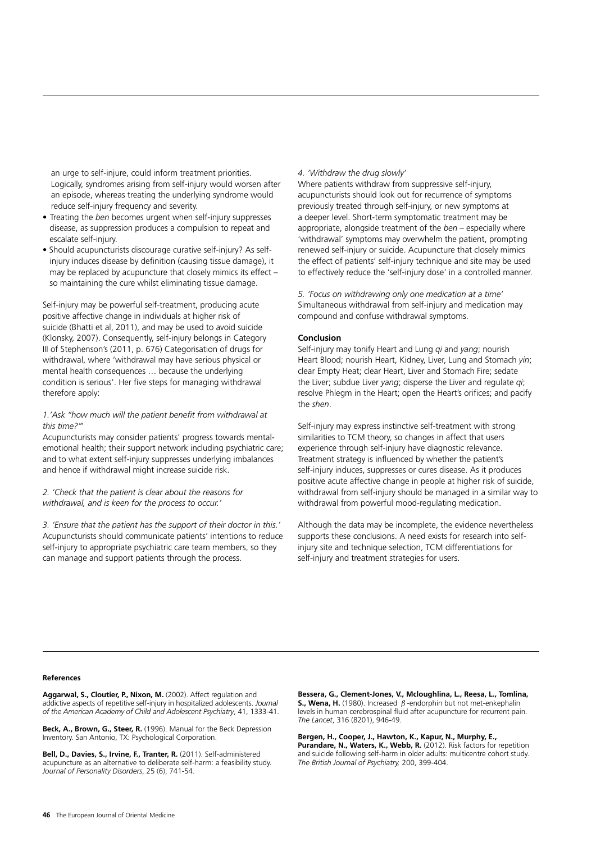an urge to self-injure, could inform treatment priorities. Logically, syndromes arising from self-injury would worsen after an episode, whereas treating the underlying syndrome would reduce self-injury frequency and severity.

- Treating the *ben* becomes urgent when self-injury suppresses disease, as suppression produces a compulsion to repeat and escalate self-injury.
- Should acupuncturists discourage curative self-injury? As self injury induces disease by definition (causing tissue damage), it may be replaced by acupuncture that closely mimics its effect – so maintaining the cure whilst eliminating tissue damage.

Self-injury may be powerful self-treatment, producing acute positive affective change in individuals at higher risk of suicide (Bhatti et al, 2011), and may be used to avoid suicide (Klonsky, 2007). Consequently, self-injury belongs in Category III of Stephenson's (2011, p. 676) Categorisation of drugs for withdrawal, where 'withdrawal may have serious physical or mental health consequences … because the underlying condition is serious'. Her five steps for managing withdrawal therefore apply:

#### *1.'Ask "how much will the patient benefit from withdrawal at this time?'''*

Acupuncturists may consider patients' progress towards mentalemotional health; their support network including psychiatric care; and to what extent self-injury suppresses underlying imbalances and hence if withdrawal might increase suicide risk.

#### *2. 'Check that the patient is clear about the reasons for withdrawal, and is keen for the process to occur.'*

*3. 'Ensure that the patient has the support of their doctor in this.'* Acupuncturists should communicate patients' intentions to reduce self-injury to appropriate psychiatric care team members, so they can manage and support patients through the process.

#### *4. 'Withdraw the drug slowly'*

Where patients withdraw from suppressive self-injury, acupuncturists should look out for recurrence of symptoms previously treated through self-injury, or new symptoms at a deeper level. Short-term symptomatic treatment may be appropriate, alongside treatment of the *ben* – especially where 'withdrawal' symptoms may overwhelm the patient, prompting renewed self-injury or suicide. Acupuncture that closely mimics the effect of patients' self-injury technique and site may be used to effectively reduce the 'self-injury dose' in a controlled manner.

*5. 'Focus on withdrawing only one medication at a time'* Simultaneous withdrawal from self-injury and medication may compound and confuse withdrawal symptoms.

#### **Conclusion**

Self-injury may tonify Heart and Lung *qi* and *yang*; nourish Heart Blood; nourish Heart, Kidney, Liver, Lung and Stomach *yin*; clear Empty Heat; clear Heart, Liver and Stomach Fire; sedate the Liver; subdue Liver *yang*; disperse the Liver and regulate *qi*; resolve Phlegm in the Heart; open the Heart's orifices; and pacify the *shen*.

Self-injury may express instinctive self-treatment with strong similarities to TCM theory, so changes in affect that users experience through self-injury have diagnostic relevance. Treatment strategy is influenced by whether the patient's self-injury induces, suppresses or cures disease. As it produces positive acute affective change in people at higher risk of suicide, withdrawal from self-injury should be managed in a similar way to withdrawal from powerful mood-regulating medication.

Although the data may be incomplete, the evidence nevertheless supports these conclusions. A need exists for research into selfinjury site and technique selection, TCM differentiations for self-injury and treatment strategies for users.

#### **References**

**Aggarwal, S., Cloutier, P., Nixon, M.** (2002). Affect regulation and addictive aspects of repetitive self-injury in hospitalized adolescents. *Journal of the American Academy of Child and Adolescent Psychiatry*, 41, 1333-41.

**Beck, A., Brown, G., Steer, R.** (1996). Manual for the Beck Depression Inventory. San Antonio, TX: Psychological Corporation.

**Bell, D., Davies, S., Irvine, F., Tranter, R.** (2011). Self-administered acupuncture as an alternative to deliberate self-harm: a feasibility study. *Journal of Personality Disorders*, 25 (6), 741-54.

**Bessera, G., Clement-Jones, V., Mcloughlina, L., Reesa, L., Tomlina, S., Wena, H.** (1980). Increased β-endorphin but not met-enkephalin levels in human cerebrospinal fluid after acupuncture for recurrent pain. *The Lancet*, 316 (8201), 946-49.

**Bergen, H., Cooper, J., Hawton, K., Kapur, N., Murphy, E., Purandare, N., Waters, K., Webb, R.** (2012). Risk factors for repetition and suicide following self-harm in older adults: multicentre cohort study. *The British Journal of Psychiatry,* 200, 399-404.